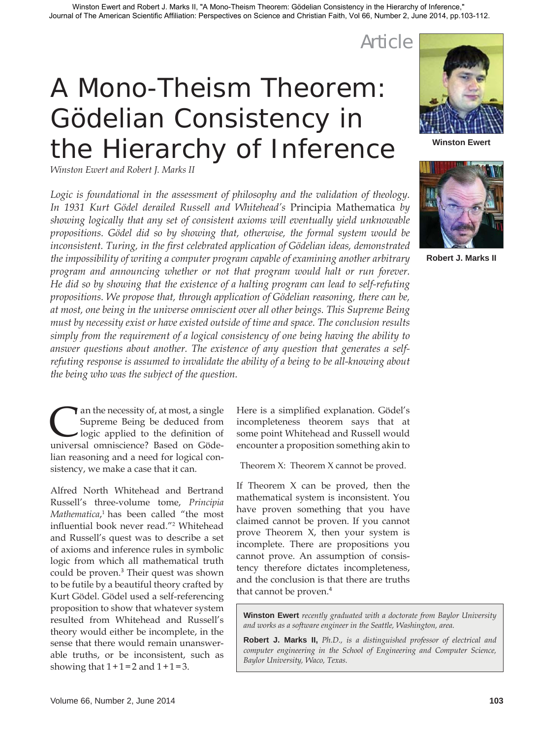# A Mono-Theism Theorem: Gödelian Consistency in the Hierarchy of Inference

*Winston Ewert and Robert J. Marks II*

Logic is foundational in the assessment of philosophy and the validation of theology. *In 1931 Kurt Gödel derailed Russell and Whitehead's* Principia Mathematica *by showing logically that any set of consistent axioms will eventually yield unknowable propositions. Gödel did so by showing that, otherwise, the formal system would be inconsistent. Turing, in the first celebrated application of Gödelian ideas, demonstrated the impossibility of writing a computer program capable of examining another arbitrary*  program and announcing whether or not that program would halt or run forever. *He did so by showing that the existence of a halting program can lead to self-refuting propositions. We propose that, through application of Gödelian reasoning, there can be, at most, one being in the universe omniscient over all other beings. This Supreme Being must by necessity exist or have existed outside of time and space. The conclusion results simply from the requirement of a logical consistency of one being having the ability to answer questions about another. The existence of any question that generates a selfrefuting response is assumed to invalidate the ability of a being to be all-knowing about the being who was the subject of the question.*

**C** an the necessity of, at most, a single<br>
Supreme Being be deduced from<br>
logic applied to the definition of<br>
universal omnisciance? Based on Göde-Supreme Being be deduced from logic applied to the definition of universal omniscience? Based on Gödelian reasoning and a need for logical consistency, we make a case that it can.

Alfred North Whitehead and Bertrand Russell's three-volume tome, *Principia Mathematica*, <sup>1</sup> has been called "the most influential book never read."<sup>2</sup> Whitehead and Russell's quest was to describe a set of axioms and inference rules in symbolic logic from which all mathematical truth could be proven.<sup>3</sup> Their quest was shown to be futile by a beautiful theory crafted by Kurt Gödel. Gödel used a self-referencing proposition to show that whatever system resulted from Whitehead and Russell's theory would either be incomplete, in the sense that there would remain unanswerable truths, or be inconsistent, such as showing that  $1+1=2$  and  $1+1=3$ .

Here is a simplified explanation. Gödel's incompleteness theorem says that at some point Whitehead and Russell would encounter a proposition something akin to

Theorem X: Theorem X cannot be proved.

If Theorem X can be proved, then the mathematical system is inconsistent. You have proven something that you have claimed cannot be proven. If you cannot prove Theorem X, then your system is incomplete. There are propositions you cannot prove. An assumption of consistency therefore dictates incompleteness, and the conclusion is that there are truths that cannot be proven.<sup>4</sup>

**Winston Ewert** *recently graduated with a doctorate from Baylor University and works as a software engineer in the Seattle, Washington, area.*

**Robert J. Marks II,** *Ph.D., is a distinguished professor of electrical and computer engineering in the School of Engineering and Computer Science, Baylor University, Waco, Texas.*



Article

**Winston Ewert**



**Robert J. Marks II**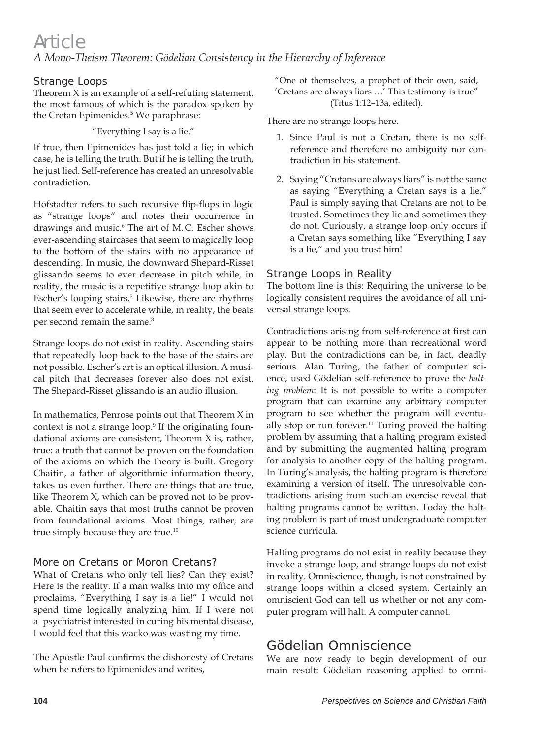# *A Mono-Theism Theorem: Gödelian Consistency in the Hierarchy of Inference*

### Strange Loops

Theorem X is an example of a self-refuting statement, the most famous of which is the paradox spoken by the Cretan Epimenides.<sup>5</sup> We paraphrase:

"Everything I say is a lie."

If true, then Epimenides has just told a lie; in which case, he is telling the truth. But if he is telling the truth, he just lied. Self-reference has created an unresolvable contradiction.

Hofstadter refers to such recursive flip-flops in logic as "strange loops" and notes their occurrence in drawings and music.<sup>6</sup> The art of M.C. Escher shows ever-ascending staircases that seem to magically loop to the bottom of the stairs with no appearance of descending. In music, the downward Shepard-Risset glissando seems to ever decrease in pitch while, in reality, the music is a repetitive strange loop akin to Escher's looping stairs.<sup>7</sup> Likewise, there are rhythms that seem ever to accelerate while, in reality, the beats per second remain the same.<sup>8</sup>

Strange loops do not exist in reality. Ascending stairs that repeatedly loop back to the base of the stairs are not possible. Escher's art is an optical illusion. A musical pitch that decreases forever also does not exist. The Shepard-Risset glissando is an audio illusion.

In mathematics, Penrose points out that Theorem X in context is not a strange loop.<sup>9</sup> If the originating foundational axioms are consistent, Theorem X is, rather, true: a truth that cannot be proven on the foundation of the axioms on which the theory is built. Gregory Chaitin, a father of algorithmic information theory, takes us even further. There are things that are true, like Theorem X, which can be proved not to be provable. Chaitin says that most truths cannot be proven from foundational axioms. Most things, rather, are true simply because they are true.<sup>10</sup>

### More on Cretans or Moron Cretans?

What of Cretans who only tell lies? Can they exist? Here is the reality. If a man walks into my office and proclaims, "Everything I say is a lie!" I would not spend time logically analyzing him. If I were not a psychiatrist interested in curing his mental disease, I would feel that this wacko was wasting my time.

The Apostle Paul confirms the dishonesty of Cretans when he refers to Epimenides and writes,

"One of themselves, a prophet of their own, said, 'Cretans are always liars …' This testimony is true" (Titus 1:12–13a, edited).

There are no strange loops here.

- 1. Since Paul is not a Cretan, there is no self reference and therefore no ambiguity nor contradiction in his statement.
- 2. Saying "Cretans are always liars" is not the same as saying "Everything a Cretan says is a lie." Paul is simply saying that Cretans are not to be trusted. Sometimes they lie and sometimes they do not. Curiously, a strange loop only occurs if a Cretan says something like "Everything I say is a lie," and you trust him!

# Strange Loops in Reality

The bottom line is this: Requiring the universe to be logically consistent requires the avoidance of all universal strange loops.

Contradictions arising from self-reference at first can appear to be nothing more than recreational word play. But the contradictions can be, in fact, deadly serious. Alan Turing, the father of computer science, used Gödelian self-reference to prove the *halting problem*: It is not possible to write a computer program that can examine any arbitrary computer program to see whether the program will eventually stop or run forever.<sup>11</sup> Turing proved the halting problem by assuming that a halting program existed and by submitting the augmented halting program for analysis to another copy of the halting program. In Turing's analysis, the halting program is therefore examining a version of itself. The unresolvable contradictions arising from such an exercise reveal that halting programs cannot be written. Today the halting problem is part of most undergraduate computer science curricula.

Halting programs do not exist in reality because they invoke a strange loop, and strange loops do not exist in reality. Omniscience, though, is not constrained by strange loops within a closed system. Certainly an omniscient God can tell us whether or not any computer program will halt. A computer cannot.

# Gödelian Omniscience

We are now ready to begin development of our main result: Gödelian reasoning applied to omni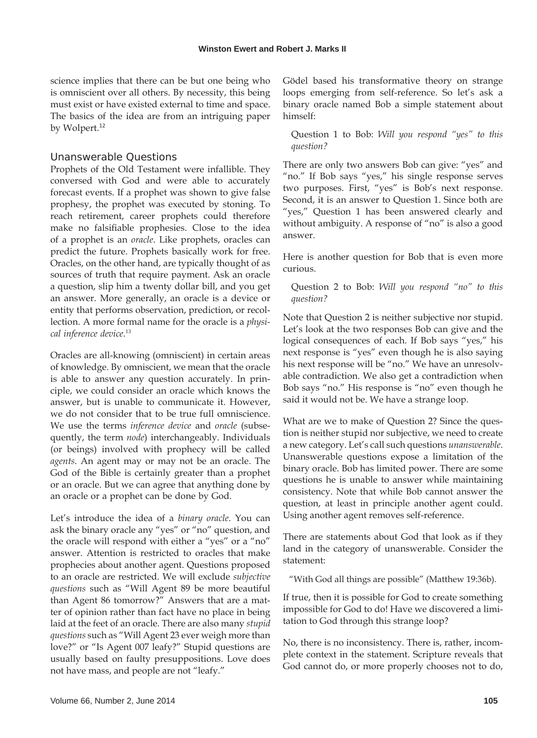science implies that there can be but one being who is omniscient over all others. By necessity, this being must exist or have existed external to time and space. The basics of the idea are from an intriguing paper by Wolpert.<sup>12</sup>

#### Unanswerable Questions

Prophets of the Old Testament were infallible. They conversed with God and were able to accurately forecast events. If a prophet was shown to give false prophesy, the prophet was executed by stoning. To reach retirement, career prophets could therefore make no falsifiable prophesies. Close to the idea of a prophet is an *oracle*. Like prophets, oracles can predict the future. Prophets basically work for free. Oracles, on the other hand, are typically thought of as sources of truth that require payment. Ask an oracle a question, slip him a twenty dollar bill, and you get an answer. More generally, an oracle is a device or entity that performs observation, prediction, or recollection. A more formal name for the oracle is a *physical inference device*. 13

Oracles are all-knowing (omniscient) in certain areas of knowledge. By omniscient, we mean that the oracle is able to answer any question accurately. In principle, we could consider an oracle which knows the answer, but is unable to communicate it. However, we do not consider that to be true full omniscience. We use the terms *inference device* and *oracle* (subse quently, the term *node*) interchangeably. Individuals (or beings) involved with prophecy will be called *agents*. An agent may or may not be an oracle. The God of the Bible is certainly greater than a prophet or an oracle. But we can agree that anything done by an oracle or a prophet can be done by God.

Let's introduce the idea of a *binary oracle*. You can ask the binary oracle any "yes" or "no" question, and the oracle will respond with either a "yes" or a "no" answer. Attention is restricted to oracles that make prophecies about another agent. Questions proposed to an oracle are restricted. We will exclude *subjective questions* such as "Will Agent 89 be more beautiful than Agent 86 tomorrow?" Answers that are a matter of opinion rather than fact have no place in being laid at the feet of an oracle. There are also many *stupid questions* such as "Will Agent 23 ever weigh more than love?" or "Is Agent 007 leafy?" Stupid questions are usually based on faulty presuppositions. Love does not have mass, and people are not "leafy."

Gödel based his transformative theory on strange loops emerging from self-reference. So let's ask a binary oracle named Bob a simple statement about himself:

Question 1 to Bob: *Will you respond "yes" to this question?*

There are only two answers Bob can give: "yes" and "no." If Bob says "yes," his single response serves two purposes. First, "yes" is Bob's next response. Second, it is an answer to Question 1. Since both are "yes," Question 1 has been answered clearly and without ambiguity. A response of "no" is also a good answer.

Here is another question for Bob that is even more curious.

Question 2 to Bob: *Will you respond "no" to this question?*

Note that Question 2 is neither subjective nor stupid. Let's look at the two responses Bob can give and the logical consequences of each. If Bob says "yes," his next response is "yes" even though he is also saying his next response will be "no." We have an unresolvable contradiction. We also get a contradiction when Bob says "no." His response is "no" even though he said it would not be. We have a strange loop.

What are we to make of Question 2? Since the question is neither stupid nor subjective, we need to create a new category. Let's call such questions *unanswerable*. Unanswerable questions expose a limitation of the binary oracle. Bob has limited power. There are some questions he is unable to answer while maintaining consistency. Note that while Bob cannot answer the question, at least in principle another agent could. Using another agent removes self-reference.

There are statements about God that look as if they land in the category of unanswerable. Consider the statement:

"With God all things are possible" (Matthew 19:36b).

If true, then it is possible for God to create something impossible for God to do! Have we discovered a limitation to God through this strange loop?

No, there is no inconsistency. There is, rather, incomplete context in the statement. Scripture reveals that God cannot do, or more properly chooses not to do,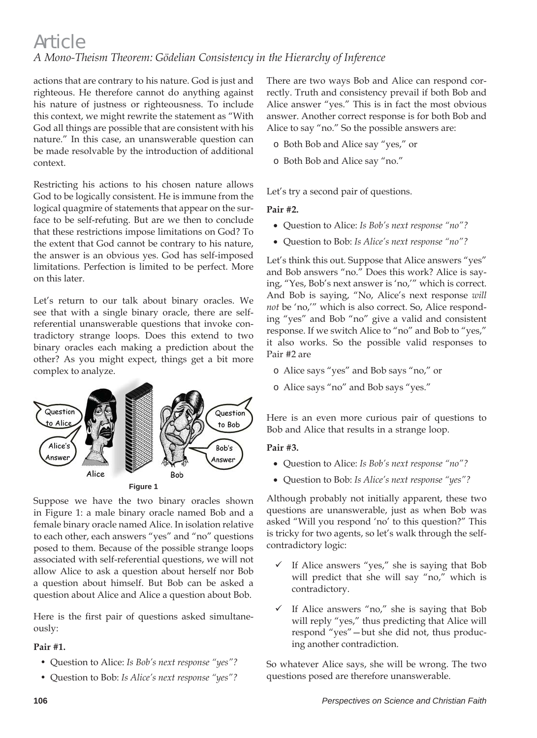# *A Mono-Theism Theorem: Gödelian Consistency in the Hierarchy of Inference*

actions that are contrary to his nature. God is just and righteous. He therefore cannot do anything against his nature of justness or righteousness. To include this context, we might rewrite the statement as "With God all things are possible that are consistent with his nature." In this case, an unanswerable question can be made resolvable by the introduction of additional context.

Restricting his actions to his chosen nature allows God to be logically consistent. He is immune from the logical quagmire of statements that appear on the surface to be self-refuting. But are we then to conclude that these restrictions impose limitations on God? To the extent that God cannot be contrary to his nature, the answer is an obvious yes. God has self-imposed limitations. Perfection is limited to be perfect. More on this later.

Let's return to our talk about binary oracles. We see that with a single binary oracle, there are self referential unanswerable questions that invoke contradictory strange loops. Does this extend to two binary oracles each making a prediction about the other? As you might expect, things get a bit more complex to analyze.



Suppose we have the two binary oracles shown in Figure 1: a male binary oracle named Bob and a female binary oracle named Alice. In isolation relative to each other, each answers "yes" and "no" questions posed to them. Because of the possible strange loops associated with self-referential questions, we will not allow Alice to ask a question about herself nor Bob a question about himself. But Bob can be asked a question about Alice and Alice a question about Bob.

Here is the first pair of questions asked simultaneously:

#### **Pair #1.**

- Question to Alice: *Is Bob's next response "yes"?*
- Question to Bob: *Is Alice's next response "yes"?*

There are two ways Bob and Alice can respond correctly. Truth and consistency prevail if both Bob and Alice answer "yes." This is in fact the most obvious answer. Another correct response is for both Bob and Alice to say "no." So the possible answers are:

- o Both Bob and Alice say "yes," or
- o Both Bob and Alice say "no."

Let's try a second pair of questions.

### **Pair #2.**

- Question to Alice: *Is Bob's next response "no"?*
- Question to Bob: *Is Alice's next response "no"?*

Let's think this out. Suppose that Alice answers "yes" and Bob answers "no." Does this work? Alice is saying, "Yes, Bob's next answer is 'no,'" which is correct. And Bob is saying, "No, Alice's next response *will not* be 'no,'" which is also correct. So, Alice responding "yes" and Bob "no" give a valid and consistent response. If we switch Alice to "no" and Bob to "yes," it also works. So the possible valid responses to Pair #2 are

- o Alice says "yes" and Bob says "no," or
- o Alice says "no" and Bob says "yes."

Here is an even more curious pair of questions to Bob and Alice that results in a strange loop.

### **Pair #3.**

- Question to Alice: *Is Bob's next response "no"?*
- Question to Bob: *Is Alice's next response "yes"?*

Although probably not initially apparent, these two questions are unanswerable, just as when Bob was asked "Will you respond 'no' to this question?" This is tricky for two agents, so let's walk through the selfcontradictory logic:

- $\checkmark$  If Alice answers "yes," she is saying that Bob will predict that she will say "no," which is contradictory.
- $\checkmark$  If Alice answers "no," she is saying that Bob will reply "yes," thus predicting that Alice will respond "yes"—but she did not, thus producing another contradiction.

So whatever Alice says, she will be wrong. The two questions posed are therefore unanswerable.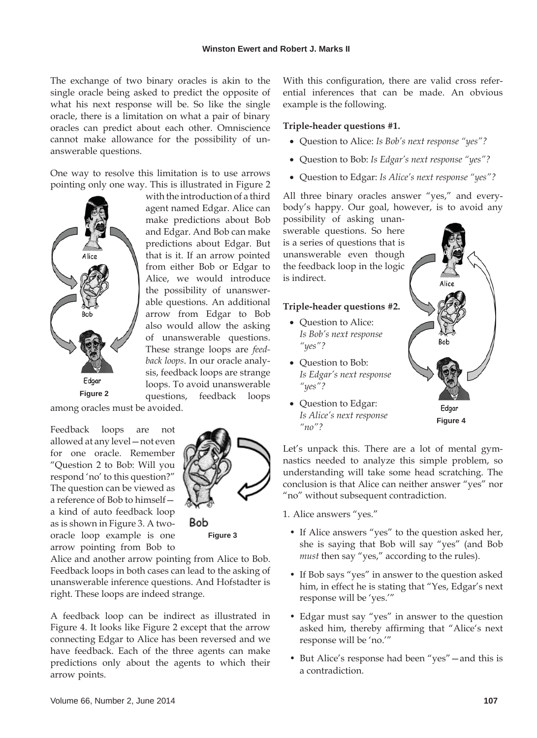The exchange of two binary oracles is akin to the single oracle being asked to predict the opposite of what his next response will be. So like the single oracle, there is a limitation on what a pair of binary oracles can predict about each other. Omniscience cannot make allowance for the possibility of unanswerable questions.

One way to resolve this limitation is to use arrows pointing only one way. This is illustrated in Figure 2



with the introduction of a third agent named Edgar. Alice can make predictions about Bob and Edgar. And Bob can make predictions about Edgar. But that is it. If an arrow pointed from either Bob or Edgar to Alice, we would introduce the possibility of unanswerable questions. An additional arrow from Edgar to Bob also would allow the asking of unanswerable questions. These strange loops are *feedback loops*. In our oracle analysis, feedback loops are strange loops. To avoid unanswerable questions, feedback loops

among oracles must be avoided.

Feedback loops are not allowed at any level—not even for one oracle. Remember "Question 2 to Bob: Will you respond 'no' to this question?" The question can be viewed as a reference of Bob to himself a kind of auto feedback loop as is shown in Figure 3. A twooracle loop example is one arrow pointing from Bob to



Bob **Figure 3**

Alice and another arrow pointing from Alice to Bob. Feedback loops in both cases can lead to the asking of unanswerable inference questions. And Hofstadter is right. These loops are indeed strange.

A feedback loop can be indirect as illustrated in Figure 4. It looks like Figure 2 except that the arrow connecting Edgar to Alice has been reversed and we have feedback. Each of the three agents can make predictions only about the agents to which their arrow points.

With this configuration, there are valid cross referential inferences that can be made. An obvious example is the following.

#### **Triple-header questions #1.**

- Question to Alice: *Is Bob's next response "yes"?*
- Question to Bob: *Is Edgar's next response "yes"?*
- Question to Edgar: *Is Alice's next response "yes"?*

All three binary oracles answer "yes," and everybody's happy. Our goal, however, is to avoid any

possibility of asking unanswerable questions. So here is a series of questions that is unanswerable even though the feedback loop in the logic is indirect.

#### **Triple-header questions #2.**

- Question to Alice: *Is Bob's next response "yes"?*
- Question to Bob: *Is Edgar's next response "yes"?*
- Question to Edgar: *Is Alice's next response "no"?*

Edgar **Figure 4**

Alice

**Bob** 

Let's unpack this. There are a lot of mental gymnastics needed to analyze this simple problem, so understanding will take some head scratching. The conclusion is that Alice can neither answer "yes" nor "no" without subsequent contradiction.

1. Alice answers "yes."

- If Alice answers "yes" to the question asked her, she is saying that Bob will say "yes" (and Bob *must* then say "yes," according to the rules).
- If Bob says "yes" in answer to the question asked him, in effect he is stating that "Yes, Edgar's next response will be 'yes.'"
- Edgar must say "yes" in answer to the question asked him, thereby affirming that "Alice's next response will be 'no.'"
- But Alice's response had been "yes"—and this is a contradiction.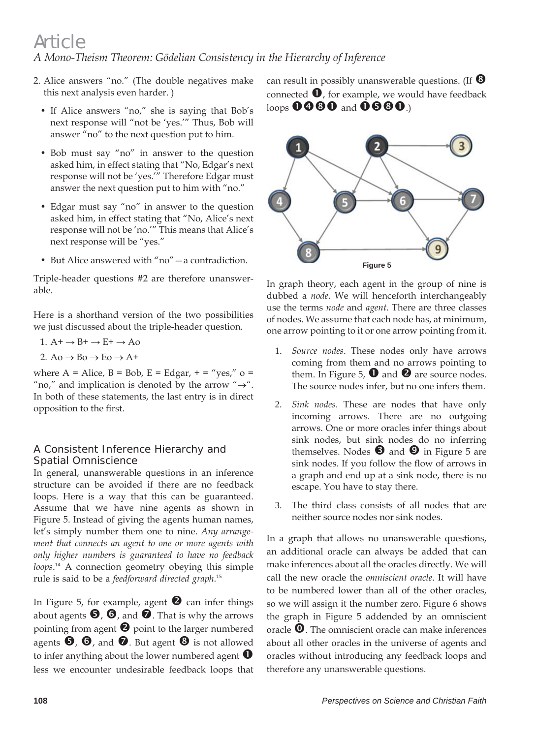# *A Mono-Theism Theorem: Gödelian Consistency in the Hierarchy of Inference*

- 2. Alice answers "no." (The double negatives make this next analysis even harder. )
	- If Alice answers "no," she is saying that Bob's next response will "not be 'yes.'" Thus, Bob will answer "no" to the next question put to him.
	- Bob must say "no" in answer to the question asked him, in effect stating that "No, Edgar's next response will not be 'yes.'" Therefore Edgar must answer the next question put to him with "no."
	- Edgar must say "no" in answer to the question asked him, in effect stating that "No, Alice's next response will not be 'no.'" This means that Alice's next response will be "yes."
	- But Alice answered with "no"—a contradiction.

Triple-header questions #2 are therefore unanswerable.

Here is a shorthand version of the two possibilities we just discussed about the triple-header question.

- 1.  $A^+ \rightarrow B^+ \rightarrow E^+ \rightarrow A_0$
- 2. Ao  $\rightarrow$  Bo  $\rightarrow$  Eo  $\rightarrow$  A+

where  $A = Alice$ ,  $B = Bob$ ,  $E = Edgar$ ,  $+ = "yes," o =$ "no," and implication is denoted by the arrow " $\rightarrow$ ". In both of these statements, the last entry is in direct opposition to the first.

### A Consistent Inference Hierarchy and Spatial Omniscience

In general, unanswerable questions in an inference structure can be avoided if there are no feedback loops. Here is a way that this can be guaranteed. Assume that we have nine agents as shown in Figure 5. Instead of giving the agents human names, let's simply number them one to nine. *Any arrangement that connects an agent to one or more agents with only higher numbers is guaranteed to have no feedback loops*. <sup>14</sup> A connection geometry obeying this simple rule is said to be a *feedforward directed graph*. 15

In Figure 5, for example, agent  $\bullet$  can infer things about agents  $\Theta$ ,  $\Theta$ , and  $\Theta$ . That is why the arrows pointing from agent  $\bullet$  point to the larger numbered agents  $\Theta$ ,  $\Theta$ , and  $\Theta$ . But agent  $\Theta$  is not allowed to infer anything about the lower numbered agent  $\bullet$ less we encounter undesirable feedback loops that can result in possibly unanswerable questions. (If  $\bullet$ connected  $\mathbf{0}$ , for example, we would have feedback  $_{\text{loops}}$  0000 and 0000.)



In graph theory, each agent in the group of nine is dubbed a *node*. We will henceforth interchangeably use the terms *node* and *agent*. There are three classes of nodes. We assume that each node has, at minimum, one arrow pointing to it or one arrow pointing from it.

- 1. *Source nodes*. These nodes only have arrows coming from them and no arrows pointing to them. In Figure 5,  $\bullet$  and  $\bullet$  are source nodes. The source nodes infer, but no one infers them.
- 2. *Sink nodes*. These are nodes that have only incoming arrows. There are no outgoing arrows. One or more oracles infer things about sink nodes, but sink nodes do no inferring themselves. Nodes  $\bullet$  and  $\bullet$  in Figure 5 are sink nodes. If you follow the flow of arrows in a graph and end up at a sink node, there is no escape. You have to stay there.
- 3. The third class consists of all nodes that are neither source nodes nor sink nodes.

In a graph that allows no unanswerable questions, an additional oracle can always be added that can make inferences about all the oracles directly. We will call the new oracle the *omniscient oracle*. It will have to be numbered lower than all of the other oracles, so we will assign it the number zero. Figure 6 shows the graph in Figure 5 addended by an omniscient oracle  $\mathbf 0$ . The omniscient oracle can make inferences about all other oracles in the universe of agents and oracles without introducing any feedback loops and therefore any unanswerable questions.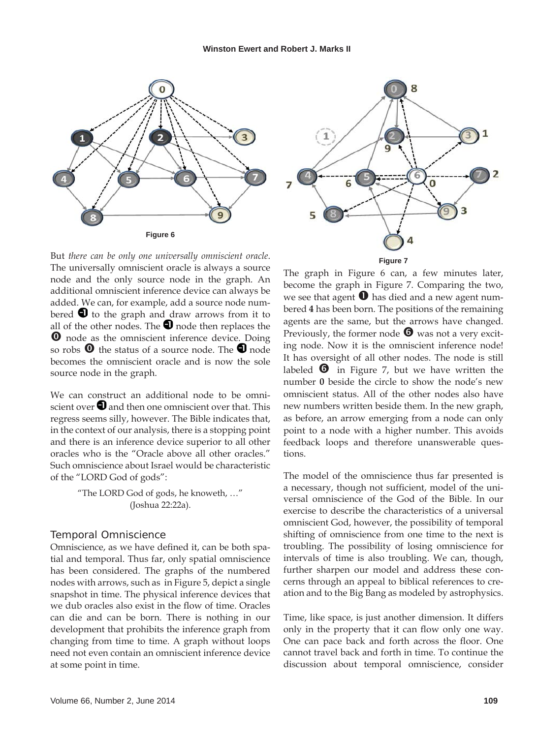



We can construct an additional node to be omniscient over  $\bigcirc$  and then one omniscient over that. This regress seems silly, however. The Bible indicates that, in the context of our analysis, there is a stopping point and there is an inference device superior to all other oracles who is the "Oracle above all other oracles." Such omniscience about Israel would be characteristic of the "LORD God of gods":

> "The LORD God of gods, he knoweth, …" (Joshua 22:22a).

#### Temporal Omniscience

Omniscience, as we have defined it, can be both spatial and temporal. Thus far, only spatial omniscience has been considered. The graphs of the numbered nodes with arrows, such as in Figure 5, depict a single snapshot in time. The physical inference devices that we dub oracles also exist in the flow of time. Oracles can die and can be born. There is nothing in our development that prohibits the inference graph from changing from time to time. A graph without loops need not even contain an omniscient inference device at some point in time.



The graph in Figure 6 can, a few minutes later, become the graph in Figure 7. Comparing the two, we see that agent  $\bullet$  has died and a new agent numbered **4** has been born. The positions of the remaining agents are the same, but the arrows have changed. Previously, the former node  $\bullet$  was not a very exciting node. Now it is the omniscient inference node! It has oversight of all other nodes. The node is still labeled  $\bullet$  in Figure 7, but we have written the number **0** beside the circle to show the node's new omniscient status. All of the other nodes also have new numbers written beside them. In the new graph, as before, an arrow emerging from a node can only point to a node with a higher number. This avoids feedback loops and therefore unanswerable questions.

The model of the omniscience thus far presented is a necessary, though not sufficient, model of the universal omniscience of the God of the Bible. In our exercise to describe the characteristics of a universal omniscient God, however, the possibility of temporal shifting of omniscience from one time to the next is troubling. The possibility of losing omniscience for intervals of time is also troubling. We can, though, further sharpen our model and address these concerns through an appeal to biblical references to creation and to the Big Bang as modeled by astrophysics.

Time, like space, is just another dimension. It differs only in the property that it can flow only one way. One can pace back and forth across the floor. One cannot travel back and forth in time. To continue the discussion about temporal omniscience, consider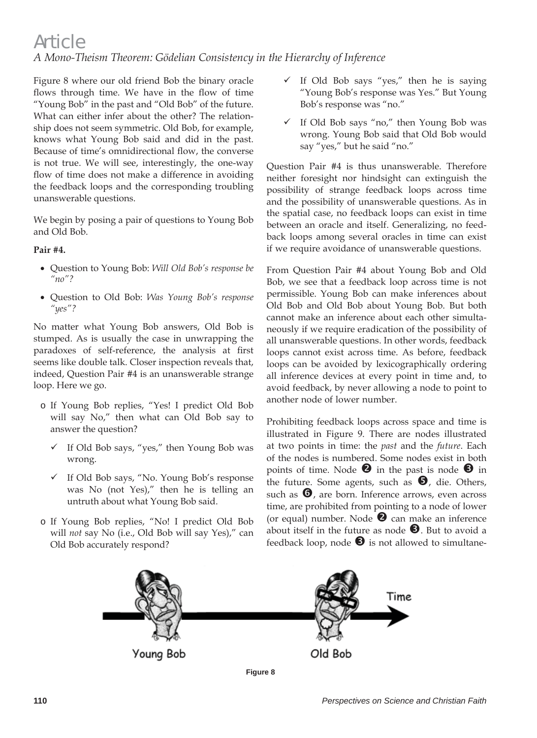*A Mono-Theism Theorem: Gödelian Consistency in the Hierarchy of Inference*

Figure 8 where our old friend Bob the binary oracle flows through time. We have in the flow of time "Young Bob" in the past and "Old Bob" of the future. What can either infer about the other? The relationship does not seem symmetric. Old Bob, for example, knows what Young Bob said and did in the past. Because of time's omnidirectional flow, the converse is not true. We will see, interestingly, the one-way flow of time does not make a difference in avoiding the feedback loops and the corresponding troubling unanswerable questions.

We begin by posing a pair of questions to Young Bob and Old Bob.

#### **Pair #4.**

- Question to Young Bob: *Will Old Bob's response be "no"?*
- Question to Old Bob: *Was Young Bob's response "yes"?*

No matter what Young Bob answers, Old Bob is stumped. As is usually the case in unwrapping the paradoxes of self-reference, the analysis at first seems like double talk. Closer inspection reveals that, indeed, Question Pair #4 is an unanswerable strange loop. Here we go.

- o If Young Bob replies, "Yes! I predict Old Bob will say No," then what can Old Bob say to answer the question?
	- If Old Bob says, "yes," then Young Bob was wrong.
	- If Old Bob says, "No. Young Bob's response was No (not Yes)," then he is telling an untruth about what Young Bob said.
- o If Young Bob replies, "No! I predict Old Bob will *not* say No (i.e., Old Bob will say Yes)," can Old Bob accurately respond?
- $\checkmark$  If Old Bob says "yes," then he is saying "Young Bob's response was Yes." But Young Bob's response was "no."
- $\checkmark$  If Old Bob says "no," then Young Bob was wrong. Young Bob said that Old Bob would say "yes," but he said "no."

Question Pair #4 is thus unanswerable. Therefore neither foresight nor hindsight can extinguish the possibility of strange feedback loops across time and the possibility of unanswerable questions. As in the spatial case, no feedback loops can exist in time between an oracle and itself. Generalizing, no feedback loops among several oracles in time can exist if we require avoidance of unanswerable questions.

From Question Pair #4 about Young Bob and Old Bob, we see that a feedback loop across time is not permissible. Young Bob can make inferences about Old Bob and Old Bob about Young Bob. But both cannot make an inference about each other simultaneously if we require eradication of the possibility of all unanswerable questions. In other words, feedback loops cannot exist across time. As before, feedback loops can be avoided by lexicographically ordering all inference devices at every point in time and, to avoid feedback, by never allowing a node to point to another node of lower number.

Prohibiting feedback loops across space and time is illustrated in Figure 9. There are nodes illustrated at two points in time: the *past* and the *future*. Each of the nodes is numbered. Some nodes exist in both points of time. Node  $\bullet$  in the past is node  $\bullet$  in the future. Some agents, such as  $\bullet$ , die. Others, such as  $\Theta$ , are born. Inference arrows, even across time, are prohibited from pointing to a node of lower (or equal) number. Node  $\bullet$  can make an inference about itself in the future as node  $\bigotimes$ . But to avoid a feedback loop, node  $\bullet$  is not allowed to simultane-

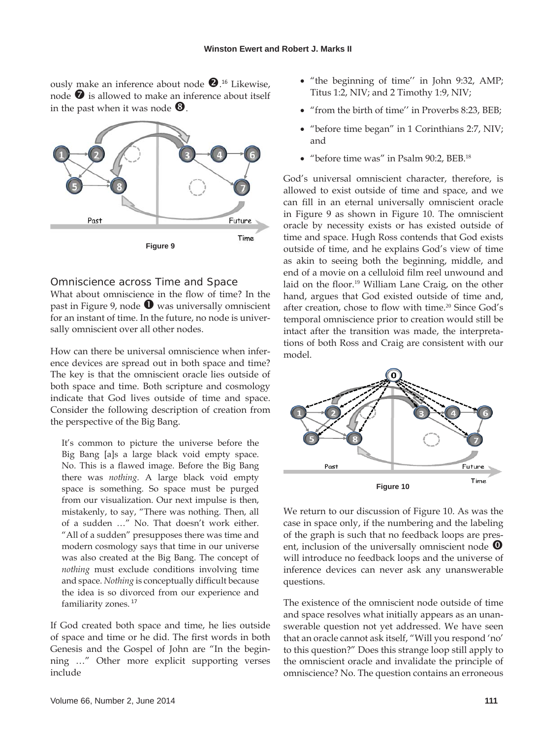ously make an inference about node  $\bullet$ .<sup>16</sup> Likewise, node  $\bullet$  is allowed to make an inference about itself in the past when it was node  $\mathbf{\Theta}$ .



Omniscience across Time and Space What about omniscience in the flow of time? In the past in Figure 9, node  $\bullet$  was universally omniscient for an instant of time. In the future, no node is universally omniscient over all other nodes.

How can there be universal omniscience when inference devices are spread out in both space and time? The key is that the omniscient oracle lies outside of both space and time. Both scripture and cosmology indicate that God lives outside of time and space. Consider the following description of creation from the perspective of the Big Bang.

It's common to picture the universe before the Big Bang [a]s a large black void empty space. No. This is a flawed image. Before the Big Bang there was *nothing*. A large black void empty space is something. So space must be purged from our visualization. Our next impulse is then, mistakenly, to say, "There was nothing. Then, all of a sudden …" No. That doesn't work either. "All of a sudden" presupposes there was time and modern cosmology says that time in our universe was also created at the Big Bang. The concept of *nothing* must exclude conditions involving time and space. *Nothing* is conceptually difficult because the idea is so divorced from our experience and familiarity zones.<sup>17</sup>

If God created both space and time, he lies outside of space and time or he did. The first words in both Genesis and the Gospel of John are "In the beginning …" Other more explicit supporting verses include

- "the beginning of time'' in John 9:32, AMP; Titus 1:2, NIV; and 2 Timothy 1:9, NIV;
- "from the birth of time'' in Proverbs 8:23, BEB;
- "before time began" in 1 Corinthians 2:7, NIV; and
- "before time was" in Psalm 90:2, BEB.18

God's universal omniscient character, therefore, is allowed to exist outside of time and space, and we can fill in an eternal universally omniscient oracle in Figure 9 as shown in Figure 10. The omniscient oracle by necessity exists or has existed outside of time and space. Hugh Ross contends that God exists outside of time, and he explains God's view of time as akin to seeing both the beginning, middle, and end of a movie on a celluloid film reel unwound and laid on the floor.<sup>19</sup> William Lane Craig, on the other hand, argues that God existed outside of time and, after creation, chose to flow with time.<sup>20</sup> Since God's temporal omniscience prior to creation would still be intact after the transition was made, the interpretations of both Ross and Craig are consistent with our model.



We return to our discussion of Figure 10. As was the case in space only, if the numbering and the labeling of the graph is such that no feedback loops are present, inclusion of the universally omniscient node  $\bullet$ will introduce no feedback loops and the universe of inference devices can never ask any unanswerable questions.

The existence of the omniscient node outside of time and space resolves what initially appears as an unanswerable question not yet addressed. We have seen that an oracle cannot ask itself, "Will you respond 'no' to this question?" Does this strange loop still apply to the omniscient oracle and invalidate the principle of omniscience? No. The question contains an erroneous